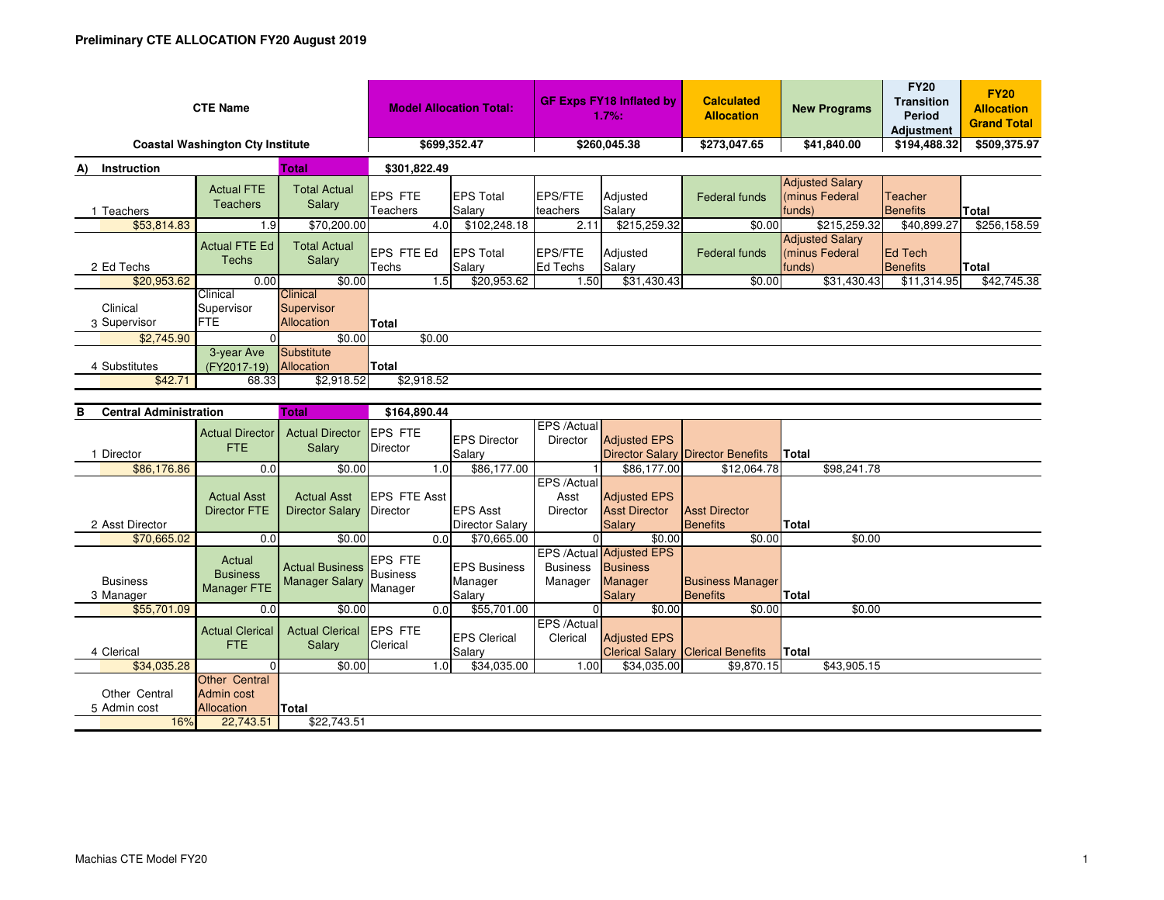| <b>CTE Name</b><br><b>Coastal Washington Cty Institute</b> |                                                 |                                                 | <b>Model Allocation Total:</b><br>\$699,352.47 |                                           | <b>GF Exps FY18 Inflated by</b><br>1.7%:<br>\$260,045.38 |                                                                    | <b>Calculated</b><br><b>Allocation</b><br>\$273,047.65 | <b>New Programs</b><br>\$41,840.00                 | <b>FY20</b><br><b>Transition</b><br><b>Period</b><br><b>Adjustment</b><br>\$194,488.32 | <b>FY20</b><br><b>Allocation</b><br><b>Grand Total</b><br>\$509,375.97 |
|------------------------------------------------------------|-------------------------------------------------|-------------------------------------------------|------------------------------------------------|-------------------------------------------|----------------------------------------------------------|--------------------------------------------------------------------|--------------------------------------------------------|----------------------------------------------------|----------------------------------------------------------------------------------------|------------------------------------------------------------------------|
| <b>Total</b>                                               |                                                 | \$301,822.49                                    |                                                |                                           |                                                          |                                                                    |                                                        |                                                    |                                                                                        |                                                                        |
| A) Instruction<br>1 Teachers                               | <b>Actual FTE</b><br><b>Teachers</b>            | <b>Total Actual</b><br>Salary                   | <b>EPS FTE</b><br>Teachers                     | <b>EPS Total</b><br>Salary                | <b>EPS/FTE</b><br>teachers                               | Adjusted<br>Salary                                                 | <b>Federal funds</b>                                   | <b>Adjusted Salary</b><br>(minus Federal<br>funds) | Teacher<br><b>Benefits</b>                                                             | <b>Total</b>                                                           |
| \$53,814.83                                                | 1.9                                             | \$70.200.00                                     | 4.0                                            | \$102,248.18                              | 2.11                                                     | \$215,259.32                                                       | \$0.00                                                 | \$215.259.32                                       | \$40,899.27                                                                            | \$256,158.59                                                           |
| 2 Ed Techs                                                 | <b>Actual FTE Ed</b><br><b>Techs</b>            | <b>Total Actual</b><br>Salary                   | EPS FTE Ed<br>Techs                            | <b>EPS Total</b><br>Salarv                | <b>EPS/FTE</b><br><b>Ed Techs</b>                        | Adjusted<br>Salary                                                 | Federal funds                                          | <b>Adjusted Salary</b><br>(minus Federal<br>funds) | <b>Ed Tech</b><br>Benefits                                                             | Total                                                                  |
| \$20,953.62                                                | 0.00                                            | \$0.00                                          | 1.5                                            | \$20,953.62                               | 1.50                                                     | \$31,430.43                                                        | \$0.00                                                 | \$31,430.43                                        | \$11,314.95                                                                            | \$42,745.38                                                            |
| Clinical<br>3 Supervisor                                   | Clinical<br>Supervisor<br><b>FTE</b>            | Clinical<br>Supervisor<br>Allocation            | <b>Total</b>                                   |                                           |                                                          |                                                                    |                                                        |                                                    |                                                                                        |                                                                        |
| \$2,745.90                                                 | $\Omega$                                        | \$0.00                                          | \$0.00                                         |                                           |                                                          |                                                                    |                                                        |                                                    |                                                                                        |                                                                        |
| 4 Substitutes                                              | 3-year Ave<br>(FY2017-19)<br>68.33              | Substitute<br>Allocation<br>\$2,918.52          | <b>Total</b>                                   |                                           |                                                          |                                                                    |                                                        |                                                    |                                                                                        |                                                                        |
| \$42.71                                                    | \$2,918.52                                      |                                                 |                                                |                                           |                                                          |                                                                    |                                                        |                                                    |                                                                                        |                                                                        |
|                                                            |                                                 |                                                 |                                                |                                           |                                                          |                                                                    |                                                        |                                                    |                                                                                        |                                                                        |
| <b>Central Administration</b><br>в                         |                                                 | <b>Total</b>                                    | \$164,890.44                                   |                                           |                                                          |                                                                    |                                                        |                                                    |                                                                                        |                                                                        |
| 1 Director                                                 | <b>Actual Director</b><br>FTE.                  | <b>Actual Director</b><br>Salary                | <b>EPS FTE</b><br><b>Director</b>              | <b>EPS Director</b><br>Salary             | EPS /Actual<br>Director                                  | <b>Adjusted EPS</b>                                                | <b>Director Salary Director Benefits</b>               | Total                                              |                                                                                        |                                                                        |
| \$86,176.86                                                | 0.0                                             | \$0.00                                          | 1.0                                            | \$86,177.00                               |                                                          | \$86,177.00                                                        | \$12,064.78                                            | \$98,241.78                                        |                                                                                        |                                                                        |
| 2 Asst Director                                            | <b>Actual Asst</b><br><b>Director FTE</b>       | <b>Actual Asst</b><br><b>Director Salary</b>    | <b>EPS FTE Asst</b><br>Director                | <b>EPS Asst</b><br><b>Director Salary</b> | EPS /Actual<br>Asst<br><b>Director</b>                   | <b>Adjusted EPS</b><br><b>Asst Director</b><br><b>Salary</b>       | <b>Asst Director</b><br><b>Benefits</b>                | Total                                              |                                                                                        |                                                                        |
| \$70,665.02                                                | 0.0                                             | \$0.00                                          | 0.0                                            | \$70,665.00                               | $\Omega$                                                 | \$0.00                                                             | \$0.00                                                 |                                                    | \$0.00                                                                                 |                                                                        |
| <b>Business</b><br>3 Manager                               | Actual<br><b>Business</b><br><b>Manager FTE</b> | <b>Actual Business</b><br><b>Manager Salary</b> | <b>EPS FTE</b><br><b>Business</b><br>Manager   | <b>EPS Business</b><br>Manager<br>Salary  | EPS /Actual<br><b>Business</b><br>Manager                | <b>Adjusted EPS</b><br><b>Business</b><br>Manager<br><b>Salary</b> | <b>Business Manager</b><br><b>Benefits</b>             | <b>Total</b>                                       |                                                                                        |                                                                        |
| \$55,701.09                                                | 0.0                                             | \$0.00                                          | 0.0                                            | \$55,701.00                               | $\overline{0}$                                           | \$0.00                                                             | \$0.00                                                 |                                                    | \$0.00                                                                                 |                                                                        |
|                                                            |                                                 |                                                 |                                                |                                           | EPS /Actual                                              |                                                                    |                                                        |                                                    |                                                                                        |                                                                        |
| 4 Clerical                                                 | <b>Actual Clerical</b><br><b>FTE</b>            | <b>Actual Clerical</b><br>Salary                | <b>EPS FTE</b><br>Clerical                     | <b>EPS Clerical</b><br>Salary             | Clerical                                                 | <b>Adjusted EPS</b>                                                | <b>Clerical Salary Clerical Benefits</b>               | <b>Total</b>                                       |                                                                                        |                                                                        |
| \$34,035.28                                                | $\Omega$<br><b>Other Central</b>                | \$0.00                                          | 1.0                                            | \$34,035.00                               | 1.00                                                     | \$34,035.00                                                        | \$9,870.15                                             | \$43,905.15                                        |                                                                                        |                                                                        |

5Admin cost

Allocation

16%

**<u>Cation</u>** Total<br>22,743.51

22,743.51 \$22,743.51